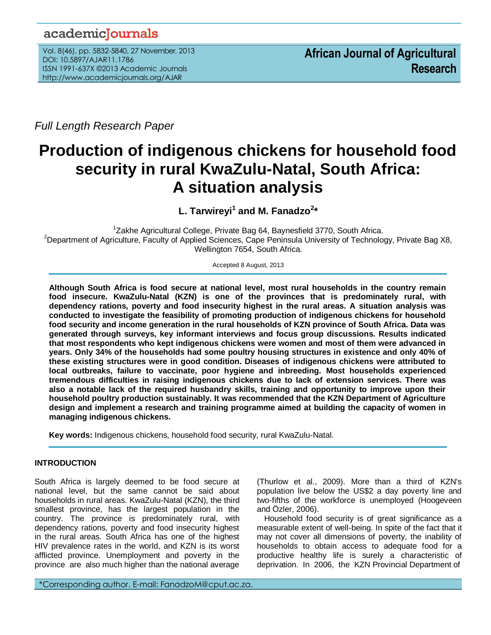# academicJournals

Vol. 8(46), pp. 5832-5840, 27 November, 2013 DOI: 10.5897/AJAR11.1786 ISSN 1991-637X ©2013 Academic Journals http://www.academicjournals.org/AJAR

*Full Length Research Paper*

# **Production of indigenous chickens for household food security in rural KwaZulu-Natal, South Africa: A situation analysis**

**L. Tarwireyi<sup>1</sup> and M. Fanadzo<sup>2</sup> \***

<sup>1</sup>Zakhe Agricultural College, Private Bag 64, Baynesfield 3770, South Africa. <sup>2</sup>Department of Agriculture, Faculty of Applied Sciences, Cape Peninsula University of Technology, Private Bag X8, Wellington 7654, South Africa.

Accepted 8 August, 2013

**Although South Africa is food secure at national level, most rural households in the country remain food insecure. KwaZulu-Natal (KZN) is one of the provinces that is predominately rural, with dependency rations, poverty and food insecurity highest in the rural areas. A situation analysis was conducted to investigate the feasibility of promoting production of indigenous chickens for household food security and income generation in the rural households of KZN province of South Africa. Data was generated through surveys, key informant interviews and focus group discussions. Results indicated that most respondents who kept indigenous chickens were women and most of them were advanced in years. Only 34% of the households had some poultry housing structures in existence and only 40% of these existing structures were in good condition. Diseases of indigenous chickens were attributed to local outbreaks, failure to vaccinate, poor hygiene and inbreeding. Most households experienced tremendous difficulties in raising indigenous chickens due to lack of extension services. There was also a notable lack of the required husbandry skills, training and opportunity to improve upon their household poultry production sustainably. It was recommended that the KZN Department of Agriculture design and implement a research and training programme aimed at building the capacity of women in managing indigenous chickens.**

**Key words:** Indigenous chickens, household food security, rural KwaZulu-Natal.

# **INTRODUCTION**

.*.*

South Africa is largely deemed to be food secure at national level, but the same cannot be said about households in rural areas. KwaZulu-Natal (KZN), the third smallest province, has the largest population in the country. The province is predominately rural, with dependency rations, poverty and food insecurity highest in the rural areas. South Africa has one of the highest HIV prevalence rates in the world, and KZN is its worst afflicted province. Unemployment and poverty in the province are also much higher than the national average

(Thurlow et al., 2009). More than a third of KZN's population live below the US\$2 a day poverty line and two-fifths of the workforce is unemployed (Hoogeveen and Özler, 2006).

Household food security is of great significance as a measurable extent of well-being. In spite of the fact that it may not cover all dimensions of poverty, the inability of households to obtain access to adequate food for a productive healthy life is surely a characteristic of deprivation. In 2006, the KZN Provincial Department of

\*Corresponding author. E-mail: [FanadzoM@cput.ac.za.](mailto:FanadzoM@cput.ac.za)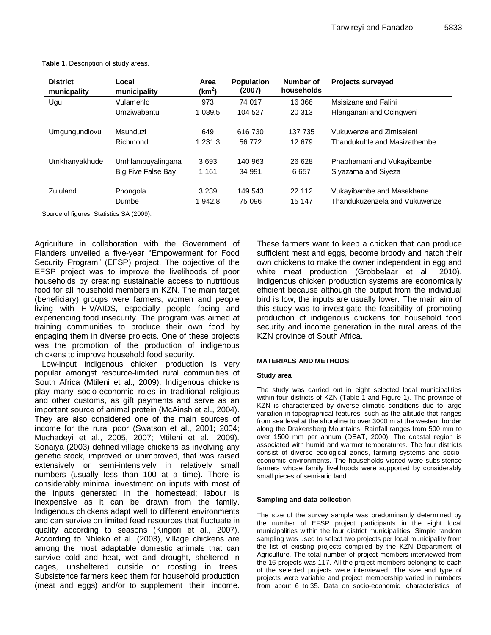| <b>District</b><br>municpality | Local<br>municipality | Area<br>$(km^2)$ | <b>Population</b><br>(2007) | Number of<br>households | <b>Projects surveyed</b>      |
|--------------------------------|-----------------------|------------------|-----------------------------|-------------------------|-------------------------------|
| Ugu                            | Vulamehlo             | 973              | 74 017                      | 16 366                  | Msisizane and Falini          |
|                                | Umziwabantu           | 1 0 8 9.5        | 104 527                     | 20 313                  | Hlanganani and Ocingweni      |
| Umgungundlovu                  | Msunduzi              | 649              | 616 730                     | 137 735                 | Vukuwenze and Zimiseleni      |
|                                | Richmond              | 1 2 3 1 . 3      | 56 772                      | 12 679                  | Thandukuhle and Masizathembe  |
| Umkhanyakhude                  | Umhlambuyalingana     | 3693             | 140 963                     | 26 628                  | Phaphamani and Vukayibambe    |
|                                | Big Five False Bay    | 1 1 6 1          | 34 991                      | 6657                    | Siyazama and Siyeza           |
| Zululand                       | Phongola              | 3 2 3 9          | 149 543                     | 22 112                  | Vukayibambe and Masakhane     |
|                                | Dumbe                 | 1 942.8          | 75 096                      | 15 147                  | Thandukuzenzela and Vukuwenze |

**Table 1.** Description of study areas.

Source of figures: Statistics SA (2009).

Agriculture in collaboration with the Government of Flanders unveiled a five-year "Empowerment for Food Security Program" (EFSP) project. The objective of the EFSP project was to improve the livelihoods of poor households by creating sustainable access to nutritious food for all household members in KZN. The main target (beneficiary) groups were farmers, women and people living with HIV/AIDS, especially people facing and experiencing food insecurity. The program was aimed at training communities to produce their own food by engaging them in diverse projects. One of these projects was the promotion of the production of indigenous chickens to improve household food security.

Low-input indigenous chicken production is very popular amongst resource-limited rural communities of South Africa (Mtileni et al., 2009). Indigenous chickens play many socio-economic roles in traditional religious and other customs, as gift payments and serve as an important source of animal protein (McAinsh et al., 2004). They are also considered one of the main sources of income for the rural poor (Swatson et al., 2001; 2004; Muchadeyi et al., 2005, 2007; Mtileni et al., 2009). Sonaiya (2003) defined village chickens as involving any genetic stock, improved or unimproved, that was raised extensively or semi-intensively in relatively small numbers (usually less than 100 at a time). There is considerably minimal investment on inputs with most of the inputs generated in the homestead; labour is inexpensive as it can be drawn from the family. Indigenous chickens adapt well to different environments and can survive on limited feed resources that fluctuate in quality according to seasons (Kingori et al., 2007). According to Nhleko et al. (2003), village chickens are among the most adaptable domestic animals that can survive cold and heat, wet and drought, sheltered in cages, unsheltered outside or roosting in trees. Subsistence farmers keep them for household production (meat and eggs) and/or to supplement their income.

These farmers want to keep a chicken that can produce sufficient meat and eggs, become broody and hatch their own chickens to make the owner independent in egg and white meat production (Grobbelaar et al., 2010). Indigenous chicken production systems are economically efficient because although the output from the individual bird is low, the inputs are usually lower. The main aim of this study was to investigate the feasibility of promoting production of indigenous chickens for household food security and income generation in the rural areas of the KZN province of South Africa.

#### **MATERIALS AND METHODS**

#### **Study area**

The study was carried out in eight selected local municipalities within four districts of KZN (Table 1 and Figure 1). The province of KZN is characterized by diverse climatic conditions due to large variation in topographical features, such as the altitude that ranges from sea level at the shoreline to over 3000 m at the western border along the Drakensberg Mountains. Rainfall ranges from 500 mm to over 1500 mm per annum (DEAT, 2000). The coastal region is associated with humid and warmer temperatures. The four districts consist of diverse ecological zones, farming systems and socioeconomic environments. The households visited were subsistence farmers whose family livelihoods were supported by considerably small pieces of semi-arid land.

#### **Sampling and data collection**

The size of the survey sample was predominantly determined by the number of EFSP project participants in the eight local municipalities within the four district municipalities. Simple random sampling was used to select two projects per local municipality from the list of existing projects compiled by the KZN Department of Agriculture. The total number of project members interviewed from the 16 projects was 117. All the project members belonging to each of the selected projects were interviewed. The size and type of projects were variable and project membership varied in numbers from about 6 to 35. Data on socio-economic characteristics of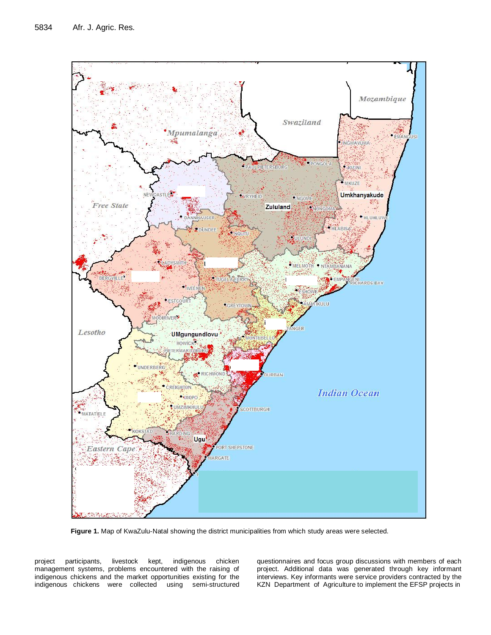

**Figure 1.** Map of KwaZulu-Natal showing the district municipalities from which study areas were selected.

project participants, livestock kept, indigenous chicken management systems, problems encountered with the raising of indigenous chickens and the market opportunities existing for the indigenous chickens were collected using semi-structured questionnaires and focus group discussions with members of each project. Additional data was generated through key informant interviews. Key informants were service providers contracted by the KZN Department of Agriculture to implement the EFSP projects in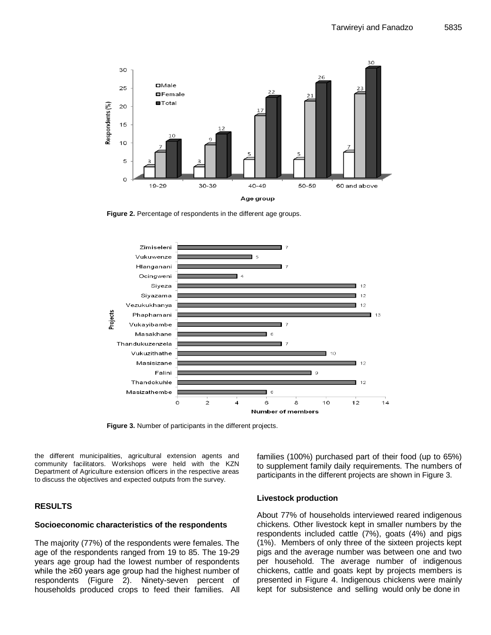

**Figure 2.** Percentage of respondents in the different age groups.



**Figure 3.** Number of participants in the different projects.

the different municipalities, agricultural extension agents and community facilitators. Workshops were held with the KZN Department of Agriculture extension officers in the respective areas to discuss the objectives and expected outputs from the survey.

#### **RESULTS**

#### **Socioeconomic characteristics of the respondents**

The majority (77%) of the respondents were females. The age of the respondents ranged from 19 to 85. The 19-29 years age group had the lowest number of respondents while the ≥60 years age group had the highest number of respondents (Figure 2). Ninety-seven percent of households produced crops to feed their families. All families (100%) purchased part of their food (up to 65%) to supplement family daily requirements. The numbers of participants in the different projects are shown in Figure 3.

#### **Livestock production**

About 77% of households interviewed reared indigenous chickens. Other livestock kept in smaller numbers by the respondents included cattle (7%), goats (4%) and pigs (1%). Members of only three of the sixteen projects kept pigs and the average number was between one and two per household. The average number of indigenous chickens, cattle and goats kept by projects members is presented in Figure 4. Indigenous chickens were mainly kept for subsistence and selling would only be done in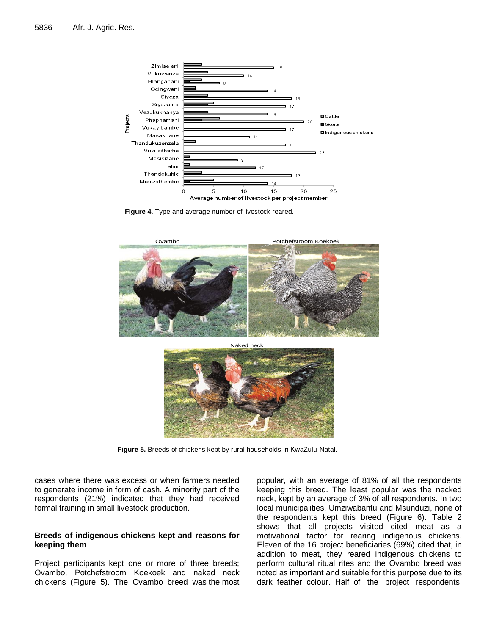

**Figure 4.** Type and average number of livestock reared.



**Figure 5.** Breeds of chickens kept by rural households in KwaZulu-Natal.

cases where there was excess or when farmers needed to generate income in form of cash. A minority part of the respondents (21%) indicated that they had received formal training in small livestock production.

#### **Breeds of indigenous chickens kept and reasons for keeping them**

Project participants kept one or more of three breeds; Ovambo, Potchefstroom Koekoek and naked neck chickens (Figure 5). The Ovambo breed was the most popular, with an average of 81% of all the respondents keeping this breed. The least popular was the necked neck, kept by an average of 3% of all respondents. In two local municipalities, Umziwabantu and Msunduzi, none of the respondents kept this breed (Figure 6). Table 2 shows that all projects visited cited meat as a motivational factor for rearing indigenous chickens. Eleven of the 16 project beneficiaries (69%) cited that, in addition to meat, they reared indigenous chickens to perform cultural ritual rites and the Ovambo breed was noted as important and suitable for this purpose due to its dark feather colour. Half of the project respondents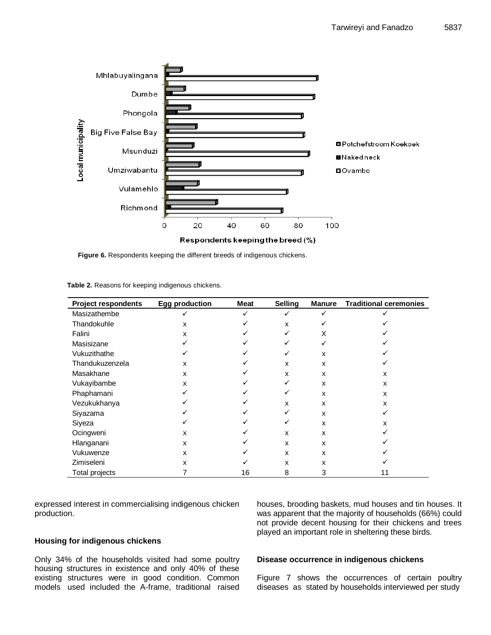

**Figure 6.** Respondents keeping the different breeds of indigenous chickens.

| <b>Project respondents</b> | <b>Egg production</b> | Meat | <b>Selling</b> | <b>Manure</b> | <b>Traditional ceremonies</b> |
|----------------------------|-----------------------|------|----------------|---------------|-------------------------------|
| Masizathembe               | ✓                     |      |                |               |                               |
| Thandokuhle                | х                     |      | x              |               |                               |
| Falini                     | x                     |      |                | X             |                               |
| Masisizane                 |                       |      |                |               |                               |
| Vukuzithathe               |                       |      |                | X             |                               |
| Thandukuzenzela            | X                     |      | X              | x             |                               |
| Masakhane                  | x                     |      | x              | x             | x                             |
| Vukayibambe                | X                     |      |                | x             | X                             |
| Phaphamani                 |                       |      |                | x             | x                             |
| Vezukukhanya               |                       |      | x              | x             | x                             |
| Siyazama                   |                       |      |                | х             |                               |
| Siyeza                     |                       |      |                | x             | x                             |
| Ocingweni                  | х                     |      | X              | x             |                               |
| Hlanganani                 | x                     |      | X              | x             |                               |
| Vukuwenze                  | x                     |      | x              | x             |                               |
| Zimiseleni                 | x                     |      | x              | х             |                               |
| Total projects             |                       | 16   | 8              | 3             | 11                            |

**Table 2.** Reasons for keeping indigenous chickens.

expressed interest in commercialising indigenous chicken production.

#### **Housing for indigenous chickens**

Only 34% of the households visited had some poultry housing structures in existence and only 40% of these existing structures were in good condition. Common models used included the A-frame, traditional raised

# was apparent that the majority of households (66%) could not provide decent housing for their chickens and trees played an important role in sheltering these birds.

houses, brooding baskets, mud houses and tin houses. It

# **Disease occurrence in indigenous chickens**

Figure 7 shows the occurrences of certain poultry diseases as stated by households interviewed per study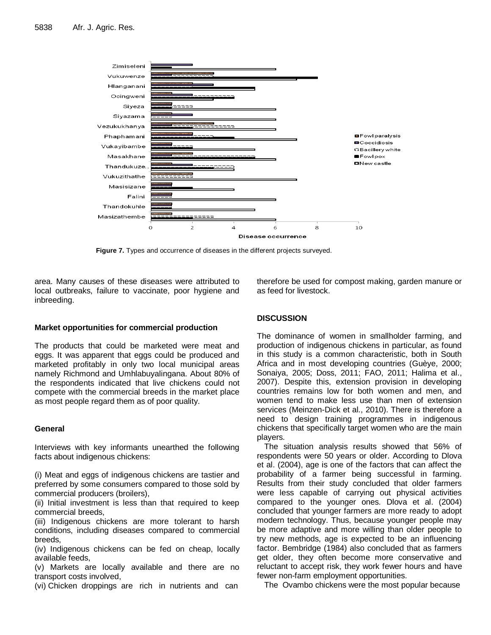

**Figure 7.** Types and occurrence of diseases in the different projects surveyed.

area. Many causes of these diseases were attributed to local outbreaks, failure to vaccinate, poor hygiene and inbreeding.

therefore be used for compost making, garden manure or as feed for livestock.

# **Market opportunities for commercial production**

The products that could be marketed were meat and eggs. It was apparent that eggs could be produced and marketed profitably in only two local municipal areas namely Richmond and Umhlabuyalingana. About 80% of the respondents indicated that live chickens could not compete with the commercial breeds in the market place as most people regard them as of poor quality.

# **General**

Interviews with key informants unearthed the following facts about indigenous chickens:

(i) Meat and eggs of indigenous chickens are tastier and preferred by some consumers compared to those sold by commercial producers (broilers),

(ii) Initial investment is less than that required to keep commercial breeds,

(iii) Indigenous chickens are more tolerant to harsh conditions, including diseases compared to commercial breeds,

(iv) Indigenous chickens can be fed on cheap, locally available feeds,

(v) Markets are locally available and there are no transport costs involved,

(vi) Chicken droppings are rich in nutrients and can

# **DISCUSSION**

The dominance of women in smallholder farming, and production of indigenous chickens in particular, as found in this study is a common characteristic, both in South Africa and in most developing countries (Guèye, 2000; Sonaiya, 2005; Doss, 2011; FAO, 2011; Halima et al., 2007). Despite this, extension provision in developing countries remains low for both women and men, and women tend to make less use than men of extension services (Meinzen-Dick et al., 2010). There is therefore a need to design training programmes in indigenous chickens that specifically target women who are the main players.

The situation analysis results showed that 56% of respondents were 50 years or older. According to Dlova et al. (2004), age is one of the factors that can affect the probability of a farmer being successful in farming. Results from their study concluded that older farmers were less capable of carrying out physical activities compared to the younger ones. Dlova et al. (2004) concluded that younger farmers are more ready to adopt modern technology. Thus, because younger people may be more adaptive and more willing than older people to try new methods, age is expected to be an influencing factor. Bembridge (1984) also concluded that as farmers get older, they often become more conservative and reluctant to accept risk, they work fewer hours and have fewer non-farm employment opportunities.

The Ovambo chickens were the most popular because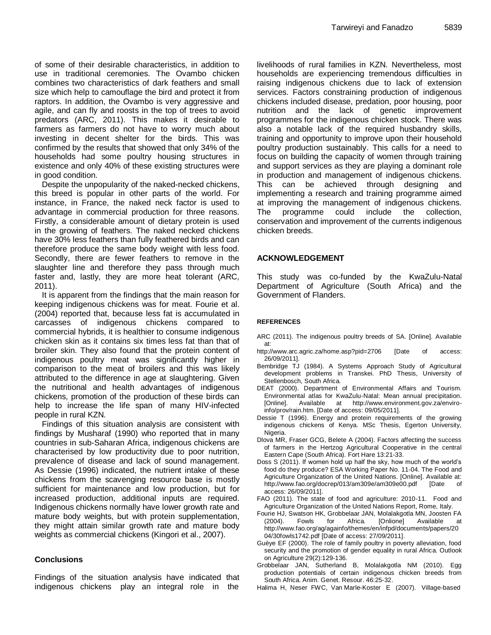of some of their desirable characteristics, in addition to use in traditional ceremonies. The Ovambo chicken combines two characteristics of dark feathers and small size which help to camouflage the bird and protect it from raptors. In addition, the Ovambo is very aggressive and agile, and can fly and roosts in the top of trees to avoid predators (ARC, 2011). This makes it desirable to farmers as farmers do not have to worry much about investing in decent shelter for the birds. This was confirmed by the results that showed that only 34% of the households had some poultry housing structures in existence and only 40% of these existing structures were in good condition.

Despite the unpopularity of the naked-necked chickens, this breed is popular in other parts of the world. For instance, in France, the naked neck factor is used to advantage in commercial production for three reasons. Firstly, a considerable amount of dietary protein is used in the growing of feathers. The naked necked chickens have 30% less feathers than fully feathered birds and can therefore produce the same body weight with less food. Secondly, there are fewer feathers to remove in the slaughter line and therefore they pass through much faster and, lastly, they are more heat tolerant (ARC, 2011).

It is apparent from the findings that the main reason for keeping indigenous chickens was for meat. Fourie et al. (2004) reported that, because less fat is accumulated in carcasses of indigenous chickens compared to commercial hybrids, it is healthier to consume indigenous chicken skin as it contains six times less fat than that of broiler skin. They also found that the protein content of indigenous poultry meat was significantly higher in comparison to the meat of broilers and this was likely attributed to the difference in age at slaughtering. Given the nutritional and health advantages of indigenous chickens, promotion of the production of these birds can help to increase the life span of many HIV-infected people in rural KZN.

Findings of this situation analysis are consistent with findings by Musharaf (1990) who reported that in many countries in sub-Saharan Africa, indigenous chickens are characterised by low productivity due to poor nutrition, prevalence of disease and lack of sound management. As Dessie (1996) indicated, the nutrient intake of these chickens from the scavenging resource base is mostly sufficient for maintenance and low production, but for increased production, additional inputs are required. Indigenous chickens normally have lower growth rate and mature body weights, but with protein supplementation, they might attain similar growth rate and mature body weights as commercial chickens (Kingori et al., 2007).

# **Conclusions**

Findings of the situation analysis have indicated that indigenous chickens play an integral role in the

livelihoods of rural families in KZN. Nevertheless, most households are experiencing tremendous difficulties in raising indigenous chickens due to lack of extension services. Factors constraining production of indigenous chickens included disease, predation, poor housing, poor nutrition and the lack of genetic improvement programmes for the indigenous chicken stock. There was also a notable lack of the required husbandry skills, training and opportunity to improve upon their household poultry production sustainably. This calls for a need to focus on building the capacity of women through training and support services as they are playing a dominant role in production and management of indigenous chickens. This can be achieved through designing and implementing a research and training programme aimed at improving the management of indigenous chickens. The programme could include the collection, conservation and improvement of the currents indigenous chicken breeds.

# **ACKNOWLEDGEMENT**

This study was co-funded by the KwaZulu-Natal Department of Agriculture (South Africa) and the Government of Flanders.

#### **REFERENCES**

- ARC (2011). The indigenous poultry breeds of SA. [Online]. Available at:
- <http://www.arc.agric.za/home.asp?pid=2706> [Date of access: 26/09/2011].
- Bembridge TJ (1984). A Systems Approach Study of Agricultural development problems in Transkei. PhD Thesis, University of Stellenbosch, South Africa.
- DEAT (2000). Department of Environmental Affairs and Tourism. Environmental atlas for KwaZulu-Natal: Mean annual precipitation. [Online]. Available at http://www.environment.gov.za/enviroinfo/prov/rain.htm. [Date of access: 09/05/2011].
- Dessie T (1996). Energy and protein requirements of the growing indigenous chickens of Kenya. MSc Thesis, Egerton University, Nigeria.
- Dlova MR, Fraser GCG, Belete A (2004). Factors affecting the success of farmers in the Hertzog Agricultural Cooperative in the central Eastern Cape (South Africa). Fort Hare 13:21-33.
- Doss S (2011). If women hold up half the sky, how much of the world's food do they produce? ESA Working Paper No. 11-04. The Food and Agriculture Organization of the United Nations. [Online]. Available at: <http://www.fao.org/docrep/013/am309e/am309e00.pdf> [Date of access: 26/09/2011].
- FAO (2011). The state of food and agriculture: 2010-11. Food and Agriculture Organization of the United Nations Report, Rome, Italy.
- Fourie HJ, Swatson HK, Grobbelaar JAN, Molalakgotla MN, Joosten FA (2004). Fowls for Africa. [Onlione] Available at [http://www.fao.org/ag/againfo/themes/en/infpd/documents/papers/20](http://www.fao.org/ag/againfo/themes/en/infpd/documents/papers/2004/30fowls1742.pdf) [04/30fowls1742.pdf](http://www.fao.org/ag/againfo/themes/en/infpd/documents/papers/2004/30fowls1742.pdf) [Date of access: 27/09/2011].
- Guèye EF (2000). The role of family poultry in poverty alleviation, food security and the promotion of gender equality in rural Africa. Outlook on Agriculture 29(2):129-136.
- Grobbelaar JAN, Sutherland B, Molalakgotla NM (2010). Egg production potentials of certain indigenous chicken breeds from South Africa. Anim. Genet. Resour. 46:25-32.
- Halima H, Neser FWC, Van Marle-Koster E (2007). Village-based